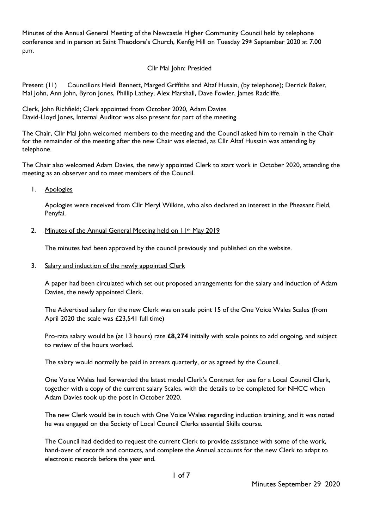Minutes of the Annual General Meeting of the Newcastle Higher Community Council held by telephone conference and in person at Saint Theodore's Church, Kenfig Hill on Tuesday 29<sup>th</sup> September 2020 at 7.00 p.m.

## Cllr Mal John: Presided

Present (11) Councillors Heidi Bennett, Marged Griffiths and Altaf Husain, (by telephone); Derrick Baker, Mal John, Ann John, Byron Jones, Phillip Lathey, Alex Marshall, Dave Fowler, James Radcliffe.

Clerk, John Richfield; Clerk appointed from October 2020, Adam Davies David-Lloyd Jones, Internal Auditor was also present for part of the meeting.

The Chair, Cllr Mal John welcomed members to the meeting and the Council asked him to remain in the Chair for the remainder of the meeting after the new Chair was elected, as Cllr Altaf Hussain was attending by telephone.

The Chair also welcomed Adam Davies, the newly appointed Clerk to start work in October 2020, attending the meeting as an observer and to meet members of the Council.

1. Apologies

Apologies were received from Cllr Meryl Wilkins, who also declared an interest in the Pheasant Field, Penyfai.

#### 2. Minutes of the Annual General Meeting held on 11<sup>th</sup> May 2019

The minutes had been approved by the council previously and published on the website.

3. Salary and induction of the newly appointed Clerk

A paper had been circulated which set out proposed arrangements for the salary and induction of Adam Davies, the newly appointed Clerk.

The Advertised salary for the new Clerk was on scale point 15 of the One Voice Wales Scales (from April 2020 the scale was £23,541 full time)

Pro-rata salary would be (at 13 hours) rate **£8,274** initially with scale points to add ongoing, and subject to review of the hours worked.

The salary would normally be paid in arrears quarterly, or as agreed by the Council.

One Voice Wales had forwarded the latest model Clerk's Contract for use for a Local Council Clerk, together with a copy of the current salary Scales. with the details to be completed for NHCC when Adam Davies took up the post in October 2020.

The new Clerk would be in touch with One Voice Wales regarding induction training, and it was noted he was engaged on the Society of Local Council Clerks essential Skills course.

The Council had decided to request the current Clerk to provide assistance with some of the work, hand-over of records and contacts, and complete the Annual accounts for the new Clerk to adapt to electronic records before the year end.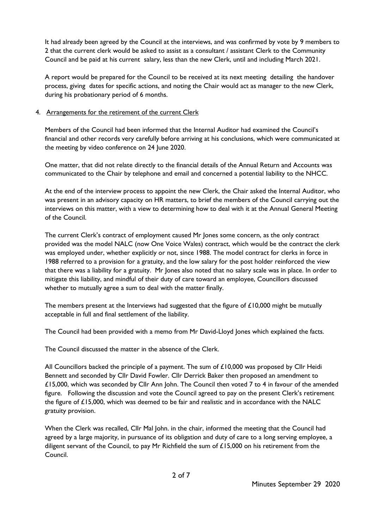It had already been agreed by the Council at the interviews, and was confirmed by vote by 9 members to 2 that the current clerk would be asked to assist as a consultant / assistant Clerk to the Community Council and be paid at his current salary, less than the new Clerk, until and including March 2021.

A report would be prepared for the Council to be received at its next meeting detailing the handover process, giving dates for specific actions, and noting the Chair would act as manager to the new Clerk, during his probationary period of 6 months.

## 4. Arrangements for the retirement of the current Clerk

Members of the Council had been informed that the Internal Auditor had examined the Council's financial and other records very carefully before arriving at his conclusions, which were communicated at the meeting by video conference on 24 June 2020.

One matter, that did not relate directly to the financial details of the Annual Return and Accounts was communicated to the Chair by telephone and email and concerned a potential liability to the NHCC.

At the end of the interview process to appoint the new Clerk, the Chair asked the Internal Auditor, who was present in an advisory capacity on HR matters, to brief the members of the Council carrying out the interviews on this matter, with a view to determining how to deal with it at the Annual General Meeting of the Council.

The current Clerk's contract of employment caused Mr Jones some concern, as the only contract provided was the model NALC (now One Voice Wales) contract, which would be the contract the clerk was employed under, whether explicitly or not, since 1988. The model contract for clerks in force in 1988 referred to a provision for a gratuity, and the low salary for the post holder reinforced the view that there was a liability for a gratuity. Mr Jones also noted that no salary scale was in place. In order to mitigate this liability, and mindful of their duty of care toward an employee, Councillors discussed whether to mutually agree a sum to deal with the matter finally.

The members present at the Interviews had suggested that the figure of £10,000 might be mutually acceptable in full and final settlement of the liability.

The Council had been provided with a memo from Mr David-Lloyd Jones which explained the facts.

The Council discussed the matter in the absence of the Clerk.

All Councillors backed the principle of a payment. The sum of £10,000 was proposed by Cllr Heidi Bennett and seconded by Cllr David Fowler. Cllr Derrick Baker then proposed an amendment to £15,000, which was seconded by Cllr Ann John. The Council then voted 7 to 4 in favour of the amended figure. Following the discussion and vote the Council agreed to pay on the present Clerk's retirement the figure of £15,000, which was deemed to be fair and realistic and in accordance with the NALC gratuity provision.

When the Clerk was recalled, Cllr Mal John. in the chair, informed the meeting that the Council had agreed by a large majority, in pursuance of its obligation and duty of care to a long serving employee, a diligent servant of the Council, to pay Mr Richfield the sum of  $£15,000$  on his retirement from the Council.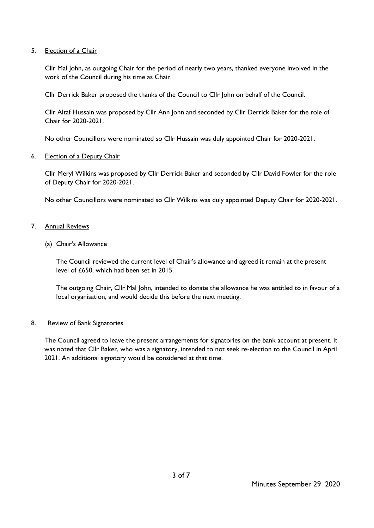### 5. Election of a Chair

Cllr Mal John, as outgoing Chair for the period of nearly two years, thanked everyone involved in the work of the Council during his time as Chair.

Cllr Derrick Baker proposed the thanks of the Council to Cllr John on behalf of the Council.

Cllr Altaf Hussain was proposed by Cllr Ann John and seconded by Cllr Derrick Baker for the role of Chair for 2020-2021.

No other Councillors were nominated so Cllr Hussain was duly appointed Chair for 2020-2021.

### 6. Election of a Deputy Chair

Cllr Meryl Wilkins was proposed by Cllr Derrick Baker and seconded by Cllr David Fowler for the role of Deputy Chair for 2020-2021.

No other Councillors were nominated so Cllr Wilkins was duly appointed Deputy Chair for 2020-2021.

### 7. Annual Reviews

### (a) Chair's Allowance

The Council reviewed the current level of Chair's allowance and agreed it remain at the present level of £650, which had been set in 2015.

The outgoing Chair, Cllr Mal John, intended to donate the allowance he was entitled to in favour of a local organisation, and would decide this before the next meeting.

### 8. Review of Bank Signatories

The Council agreed to leave the present arrangements for signatories on the bank account at present. It was noted that Cllr Baker, who was a signatory, intended to not seek re-election to the Council in April 2021. An additional signatory would be considered at that time.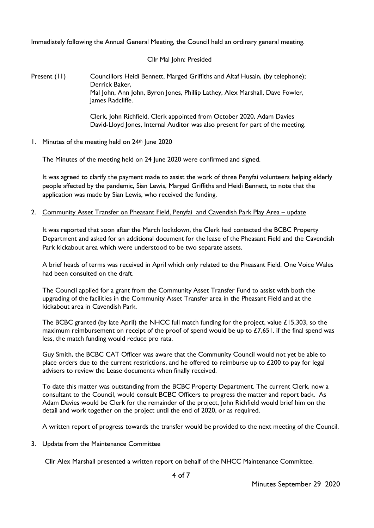Immediately following the Annual General Meeting, the Council held an ordinary general meeting.

## Cllr Mal John: Presided

Present (11) Councillors Heidi Bennett, Marged Griffiths and Altaf Husain, (by telephone); Derrick Baker, Mal John, Ann John, Byron Jones, Phillip Lathey, Alex Marshall, Dave Fowler, James Radcliffe.

> Clerk, John Richfield, Clerk appointed from October 2020, Adam Davies David-Lloyd Jones, Internal Auditor was also present for part of the meeting.

1. Minutes of the meeting held on 24<sup>th</sup> June 2020

The Minutes of the meeting held on 24 June 2020 were confirmed and signed.

It was agreed to clarify the payment made to assist the work of three Penyfai volunteers helping elderly people affected by the pandemic, Sian Lewis, Marged Griffiths and Heidi Bennett, to note that the application was made by Sian Lewis, who received the funding.

2. Community Asset Transfer on Pheasant Field, Penyfai and Cavendish Park Play Area – update

It was reported that soon after the March lockdown, the Clerk had contacted the BCBC Property Department and asked for an additional document for the lease of the Pheasant Field and the Cavendish Park kickabout area which were understood to be two separate assets.

A brief heads of terms was received in April which only related to the Pheasant Field. One Voice Wales had been consulted on the draft.

The Council applied for a grant from the Community Asset Transfer Fund to assist with both the upgrading of the facilities in the Community Asset Transfer area in the Pheasant Field and at the kickabout area in Cavendish Park.

The BCBC granted (by late April) the NHCC full match funding for the project, value £15,303, so the maximum reimbursement on receipt of the proof of spend would be up to  $£7,651$ . if the final spend was less, the match funding would reduce pro rata.

Guy Smith, the BCBC CAT Officer was aware that the Community Council would not yet be able to place orders due to the current restrictions, and he offered to reimburse up to £200 to pay for legal advisers to review the Lease documents when finally received.

To date this matter was outstanding from the BCBC Property Department. The current Clerk, now a consultant to the Council, would consult BCBC Officers to progress the matter and report back. As Adam Davies would be Clerk for the remainder of the project, John Richfield would brief him on the detail and work together on the project until the end of 2020, or as required.

A written report of progress towards the transfer would be provided to the next meeting of the Council.

# 3. Update from the Maintenance Committee

Cllr Alex Marshall presented a written report on behalf of the NHCC Maintenance Committee.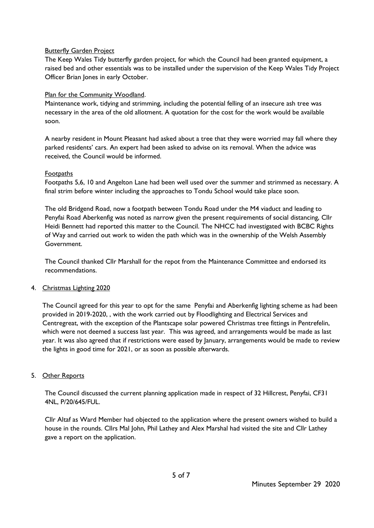## **Butterfly Garden Project**

The Keep Wales Tidy butterfly garden project, for which the Council had been granted equipment, a raised bed and other essentials was to be installed under the supervision of the Keep Wales Tidy Project Officer Brian Jones in early October.

## Plan for the Community Woodland.

Maintenance work, tidying and strimming, including the potential felling of an insecure ash tree was necessary in the area of the old allotment. A quotation for the cost for the work would be available soon.

A nearby resident in Mount Pleasant had asked about a tree that they were worried may fall where they parked residents' cars. An expert had been asked to advise on its removal. When the advice was received, the Council would be informed.

### Footpaths

Footpaths 5,6, 10 and Angelton Lane had been well used over the summer and strimmed as necessary. A final strim before winter including the approaches to Tondu School would take place soon.

The old Bridgend Road, now a footpath between Tondu Road under the M4 viaduct and leading to Penyfai Road Aberkenfig was noted as narrow given the present requirements of social distancing, Cllr Heidi Bennett had reported this matter to the Council. The NHCC had investigated with BCBC Rights of Way and carried out work to widen the path which was in the ownership of the Welsh Assembly Government.

The Council thanked Cllr Marshall for the repot from the Maintenance Committee and endorsed its recommendations.

# 4. Christmas Lighting 2020

The Council agreed for this year to opt for the same Penyfai and Aberkenfig lighting scheme as had been provided in 2019-2020, , with the work carried out by Floodlighting and Electrical Services and Centregreat, with the exception of the Plantscape solar powered Christmas tree fittings in Pentrefelin, which were not deemed a success last year. This was agreed, and arrangements would be made as last year. It was also agreed that if restrictions were eased by January, arrangements would be made to review the lights in good time for 2021, or as soon as possible afterwards.

# 5. Other Reports

The Council discussed the current planning application made in respect of 32 Hillcrest, Penyfai, CF31 4NL, P/20/645/FUL.

Cllr Altaf as Ward Member had objected to the application where the present owners wished to build a house in the rounds. Cllrs Mal John, Phil Lathey and Alex Marshal had visited the site and Cllr Lathey gave a report on the application.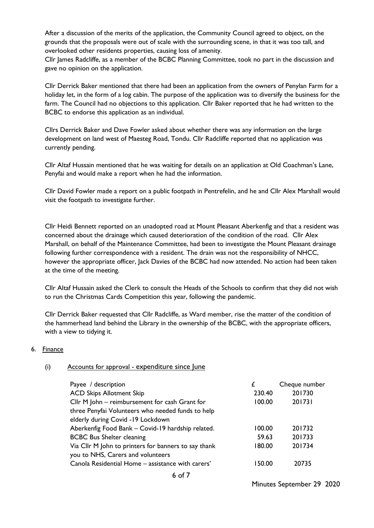After a discussion of the merits of the application, the Community Council agreed to object, on the grounds that the proposals were out of scale with the surrounding scene, in that it was too tall, and overlooked other residents properties, causing loss of amenity.

Cllr James Radcliffe, as a member of the BCBC Planning Committee, took no part in the discussion and gave no opinion on the application.

Cllr Derrick Baker mentioned that there had been an application from the owners of Penylan Farm for a holiday let, in the form of a log cabin. The purpose of the application was to diversify the business for the farm. The Council had no objections to this application. Cllr Baker reported that he had written to the BCBC to endorse this application as an individual.

Cllrs Derrick Baker and Dave Fowler asked about whether there was any information on the large development on land west of Maesteg Road, Tondu. Cllr Radcliffe reported that no application was currently pending.

Cllr Altaf Hussain mentioned that he was waiting for details on an application at Old Coachman's Lane, Penyfai and would make a report when he had the information.

Cllr David Fowler made a report on a public footpath in Pentrefelin, and he and Cllr Alex Marshall would visit the footpath to investigate further.

Cllr Heidi Bennett reported on an unadopted road at Mount Pleasant Aberkenfig and that a resident was concerned about the drainage which caused deterioration of the condition of the road. Cllr Alex Marshall, on behalf of the Maintenance Committee, had been to investigate the Mount Pleasant drainage following further correspondence with a resident. The drain was not the responsibility of NHCC, however the appropriate officer, Jack Davies of the BCBC had now attended. No action had been taken at the time of the meeting.

Cllr Altaf Hussain asked the Clerk to consult the Heads of the Schools to confirm that they did not wish to run the Christmas Cards Competition this year, following the pandemic.

Cllr Derrick Baker requested that Cllr Radcliffe, as Ward member, rise the matter of the condition of the hammerhead land behind the Library in the ownership of the BCBC, with the appropriate officers, with a view to tidying it.

### 6. Finance

### (i) Accounts for approval - expenditure since June

| Payee / description                                  |        | Cheque number |
|------------------------------------------------------|--------|---------------|
| <b>ACD Skips Allotment Skip</b>                      | 230.40 | 201730        |
| Cllr M John - reimbursement for cash Grant for       | 100.00 | 201731        |
| three Penyfai Volunteers who needed funds to help    |        |               |
| elderly during Covid -19 Lockdown                    |        |               |
| Aberkenfig Food Bank - Covid-19 hardship related.    | 100.00 | 201732        |
| <b>BCBC Bus Shelter cleaning</b>                     | 59.63  | 201733        |
| Via Cllr M John to printers for banners to say thank | 180.00 | 201734        |
| you to NHS, Carers and volunteers                    |        |               |
| Canola Residential Home - assistance with carers'    | 150.00 | 20735         |
| $\sqrt{1}$                                           |        |               |